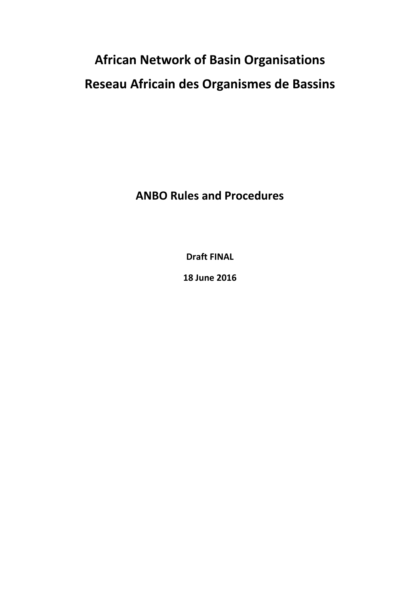# **African Network of Basin Organisations Reseau Africain des Organismes de Bassins**

**ANBO Rules and Procedures** 

**Draft FINAL** 

**18 June 2016**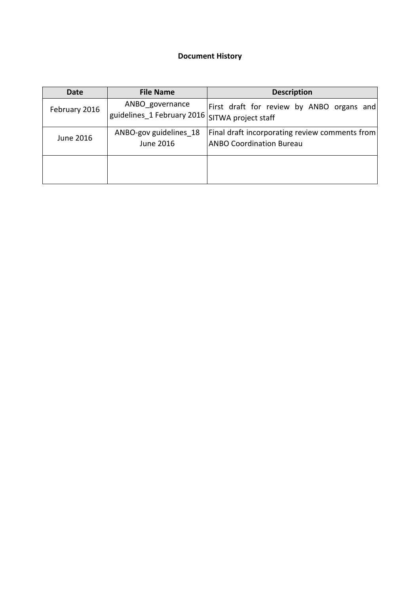#### **Document History**

| <b>Date</b>   | <b>File Name</b>                                                  | <b>Description</b>                                                                |
|---------------|-------------------------------------------------------------------|-----------------------------------------------------------------------------------|
| February 2016 | ANBO governance<br>guidelines_1 February 2016 SITWA project staff | First draft for review by ANBO organs and                                         |
| June 2016     | ANBO-gov guidelines 18<br>June 2016                               | Final draft incorporating review comments from<br><b>ANBO Coordination Bureau</b> |
|               |                                                                   |                                                                                   |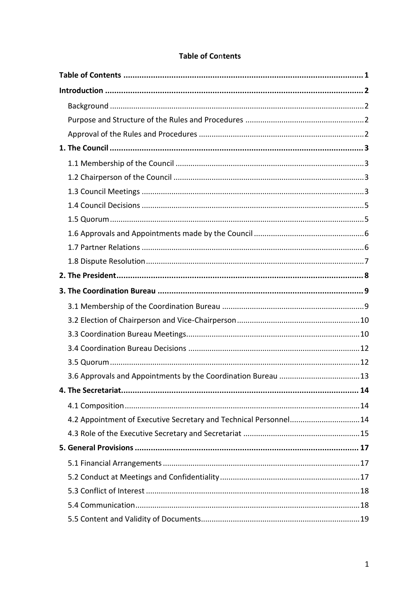<span id="page-2-0"></span>

| 4.2 Appointment of Executive Secretary and Technical Personnel 14 |  |
|-------------------------------------------------------------------|--|
|                                                                   |  |
|                                                                   |  |
|                                                                   |  |
|                                                                   |  |
|                                                                   |  |
|                                                                   |  |
|                                                                   |  |

# **Table of Contents**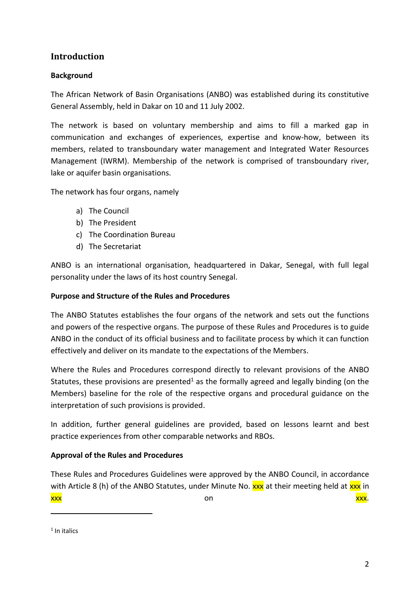## <span id="page-3-0"></span>**Introduction**

#### <span id="page-3-1"></span>**Background**

The African Network of Basin Organisations (ANBO) was established during its constitutive General Assembly, held in Dakar on 10 and 11 July 2002.

The network is based on voluntary membership and aims to fill a marked gap in communication and exchanges of experiences, expertise and know-how, between its members, related to transboundary water management and Integrated Water Resources Management (IWRM). Membership of the network is comprised of transboundary river, lake or aquifer basin organisations.

The network has four organs, namely

- a) The Council
- b) The President
- c) The Coordination Bureau
- d) The Secretariat

ANBO is an international organisation, headquartered in Dakar, Senegal, with full legal personality under the laws of its host country Senegal.

#### <span id="page-3-2"></span>**Purpose and Structure of the Rules and Procedures**

The ANBO Statutes establishes the four organs of the network and sets out the functions and powers of the respective organs. The purpose of these Rules and Procedures is to guide ANBO in the conduct of its official business and to facilitate process by which it can function effectively and deliver on its mandate to the expectations of the Members.

Where the Rules and Procedures correspond directly to relevant provisions of the ANBO Statutes, these provisions are presented<sup>1</sup> as the formally agreed and legally binding (on the Members) baseline for the role of the respective organs and procedural guidance on the interpretation of such provisions is provided.

In addition, further general guidelines are provided, based on lessons learnt and best practice experiences from other comparable networks and RBOs.

## <span id="page-3-3"></span>**Approval of the Rules and Procedures**

These Rules and Procedures Guidelines were approved by the ANBO Council, in accordance with Article 8 (h) of the ANBO Statutes, under Minute No. xxx at their meeting held at xxx in xxx on xxx.

-

<sup>&</sup>lt;sup>1</sup> In italics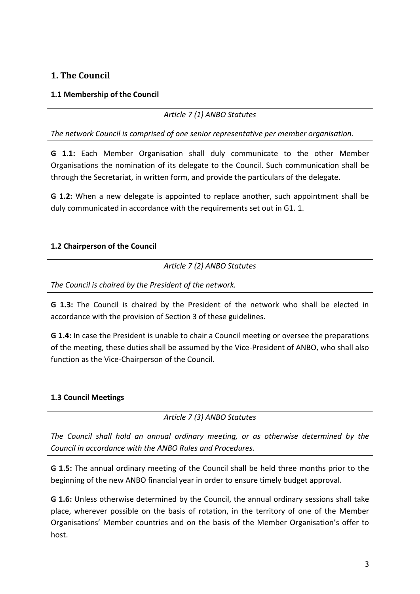# <span id="page-4-0"></span>**1. The Council**

## <span id="page-4-1"></span>**1.1 Membership of the Council**

*Article 7 (1) ANBO Statutes*

*The network Council is comprised of one senior representative per member organisation.*

**G 1.1:** Each Member Organisation shall duly communicate to the other Member Organisations the nomination of its delegate to the Council. Such communication shall be through the Secretariat, in written form, and provide the particulars of the delegate.

**G 1.2:** When a new delegate is appointed to replace another, such appointment shall be duly communicated in accordance with the requirements set out in G1. 1.

## <span id="page-4-2"></span>**1.2 Chairperson of the Council**

*Article 7 (2) ANBO Statutes*

*The Council is chaired by the President of the network.*

**G 1.3:** The Council is chaired by the President of the network who shall be elected in accordance with the provision of Section 3 of these guidelines.

**G 1.4:** In case the President is unable to chair a Council meeting or oversee the preparations of the meeting, these duties shall be assumed by the Vice-President of ANBO, who shall also function as the Vice-Chairperson of the Council.

## <span id="page-4-3"></span>**1.3 Council Meetings**

*Article 7 (3) ANBO Statutes*

*The Council shall hold an annual ordinary meeting, or as otherwise determined by the Council in accordance with the ANBO Rules and Procedures.*

**G 1.5:** The annual ordinary meeting of the Council shall be held three months prior to the beginning of the new ANBO financial year in order to ensure timely budget approval.

**G 1.6:** Unless otherwise determined by the Council, the annual ordinary sessions shall take place, wherever possible on the basis of rotation, in the territory of one of the Member Organisations' Member countries and on the basis of the Member Organisation's offer to host.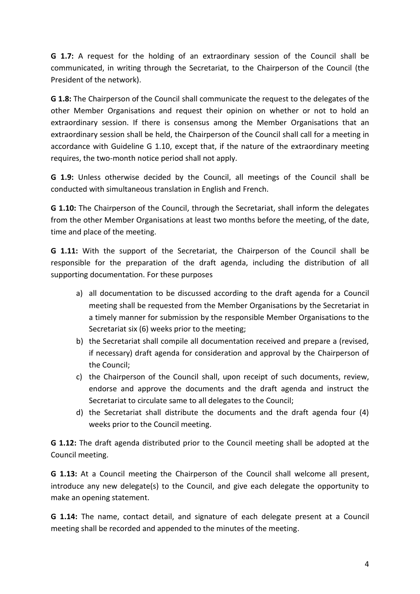**G 1.7:** A request for the holding of an extraordinary session of the Council shall be communicated, in writing through the Secretariat, to the Chairperson of the Council (the President of the network).

**G 1.8:** The Chairperson of the Council shall communicate the request to the delegates of the other Member Organisations and request their opinion on whether or not to hold an extraordinary session. If there is consensus among the Member Organisations that an extraordinary session shall be held, the Chairperson of the Council shall call for a meeting in accordance with Guideline G 1.10, except that, if the nature of the extraordinary meeting requires, the two-month notice period shall not apply.

**G 1.9:** Unless otherwise decided by the Council, all meetings of the Council shall be conducted with simultaneous translation in English and French.

**G 1.10:** The Chairperson of the Council, through the Secretariat, shall inform the delegates from the other Member Organisations at least two months before the meeting, of the date, time and place of the meeting.

**G 1.11:** With the support of the Secretariat, the Chairperson of the Council shall be responsible for the preparation of the draft agenda, including the distribution of all supporting documentation. For these purposes

- a) all documentation to be discussed according to the draft agenda for a Council meeting shall be requested from the Member Organisations by the Secretariat in a timely manner for submission by the responsible Member Organisations to the Secretariat six (6) weeks prior to the meeting;
- b) the Secretariat shall compile all documentation received and prepare a (revised, if necessary) draft agenda for consideration and approval by the Chairperson of the Council;
- c) the Chairperson of the Council shall, upon receipt of such documents, review, endorse and approve the documents and the draft agenda and instruct the Secretariat to circulate same to all delegates to the Council;
- d) the Secretariat shall distribute the documents and the draft agenda four (4) weeks prior to the Council meeting.

**G 1.12:** The draft agenda distributed prior to the Council meeting shall be adopted at the Council meeting.

**G 1.13:** At a Council meeting the Chairperson of the Council shall welcome all present, introduce any new delegate(s) to the Council, and give each delegate the opportunity to make an opening statement.

**G 1.14:** The name, contact detail, and signature of each delegate present at a Council meeting shall be recorded and appended to the minutes of the meeting.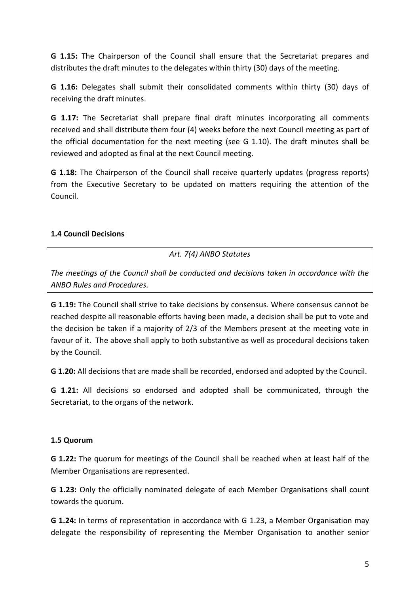**G 1.15:** The Chairperson of the Council shall ensure that the Secretariat prepares and distributes the draft minutes to the delegates within thirty (30) days of the meeting.

**G 1.16:** Delegates shall submit their consolidated comments within thirty (30) days of receiving the draft minutes.

**G 1.17:** The Secretariat shall prepare final draft minutes incorporating all comments received and shall distribute them four (4) weeks before the next Council meeting as part of the official documentation for the next meeting (see G 1.10). The draft minutes shall be reviewed and adopted as final at the next Council meeting.

**G 1.18:** The Chairperson of the Council shall receive quarterly updates (progress reports) from the Executive Secretary to be updated on matters requiring the attention of the Council.

#### <span id="page-6-0"></span>**1.4 Council Decisions**

*Art. 7(4) ANBO Statutes*

*The meetings of the Council shall be conducted and decisions taken in accordance with the ANBO Rules and Procedures.*

**G 1.19:** The Council shall strive to take decisions by consensus. Where consensus cannot be reached despite all reasonable efforts having been made, a decision shall be put to vote and the decision be taken if a majority of 2/3 of the Members present at the meeting vote in favour of it. The above shall apply to both substantive as well as procedural decisions taken by the Council.

**G 1.20:** All decisions that are made shall be recorded, endorsed and adopted by the Council.

**G 1.21:** All decisions so endorsed and adopted shall be communicated, through the Secretariat, to the organs of the network.

#### <span id="page-6-1"></span>**1.5 Quorum**

**G 1.22:** The quorum for meetings of the Council shall be reached when at least half of the Member Organisations are represented.

**G 1.23:** Only the officially nominated delegate of each Member Organisations shall count towards the quorum.

**G 1.24:** In terms of representation in accordance with G 1.23, a Member Organisation may delegate the responsibility of representing the Member Organisation to another senior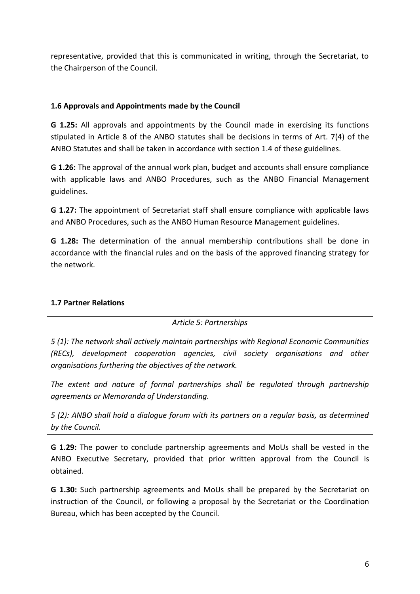representative, provided that this is communicated in writing, through the Secretariat, to the Chairperson of the Council.

#### <span id="page-7-0"></span>**1.6 Approvals and Appointments made by the Council**

**G 1.25:** All approvals and appointments by the Council made in exercising its functions stipulated in Article 8 of the ANBO statutes shall be decisions in terms of Art. 7(4) of the ANBO Statutes and shall be taken in accordance with section 1.4 of these guidelines.

**G 1.26:** The approval of the annual work plan, budget and accounts shall ensure compliance with applicable laws and ANBO Procedures, such as the ANBO Financial Management guidelines.

**G 1.27:** The appointment of Secretariat staff shall ensure compliance with applicable laws and ANBO Procedures, such as the ANBO Human Resource Management guidelines.

**G 1.28:** The determination of the annual membership contributions shall be done in accordance with the financial rules and on the basis of the approved financing strategy for the network.

## <span id="page-7-1"></span>**1.7 Partner Relations**

*Article 5: Partnerships*

*5 (1): The network shall actively maintain partnerships with Regional Economic Communities (RECs), development cooperation agencies, civil society organisations and other organisations furthering the objectives of the network.*

*The extent and nature of formal partnerships shall be regulated through partnership agreements or Memoranda of Understanding.*

*5 (2): ANBO shall hold a dialogue forum with its partners on a regular basis, as determined by the Council.*

**G 1.29:** The power to conclude partnership agreements and MoUs shall be vested in the ANBO Executive Secretary, provided that prior written approval from the Council is obtained.

**G 1.30:** Such partnership agreements and MoUs shall be prepared by the Secretariat on instruction of the Council, or following a proposal by the Secretariat or the Coordination Bureau, which has been accepted by the Council.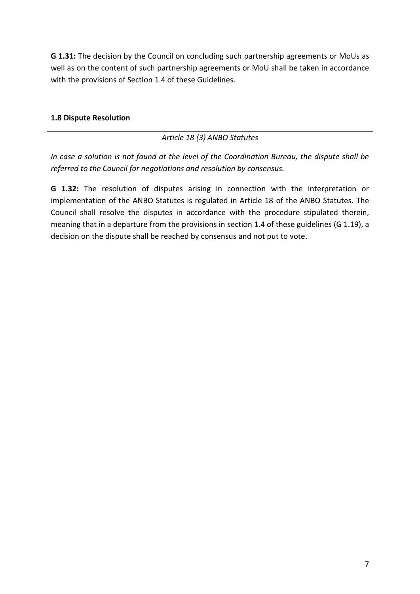**G 1.31:** The decision by the Council on concluding such partnership agreements or MoUs as well as on the content of such partnership agreements or MoU shall be taken in accordance with the provisions of Section 1.4 of these Guidelines.

#### <span id="page-8-0"></span>**1.8 Dispute Resolution**

#### *Article 18 (3) ANBO Statutes*

*In case a solution is not found at the level of the Coordination Bureau, the dispute shall be referred to the Council for negotiations and resolution by consensus.*

**G 1.32:** The resolution of disputes arising in connection with the interpretation or implementation of the ANBO Statutes is regulated in Article 18 of the ANBO Statutes. The Council shall resolve the disputes in accordance with the procedure stipulated therein, meaning that in a departure from the provisions in section 1.4 of these guidelines (G 1.19), a decision on the dispute shall be reached by consensus and not put to vote.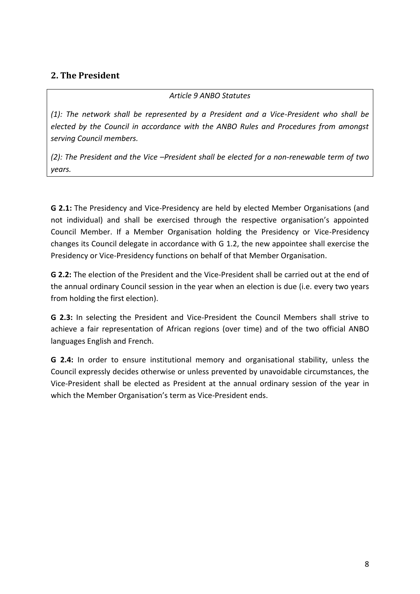## <span id="page-9-0"></span>**2. The President**

#### *Article 9 ANBO Statutes*

*(1): The network shall be represented by a President and a Vice-President who shall be elected by the Council in accordance with the ANBO Rules and Procedures from amongst serving Council members.*

*(2): The President and the Vice –President shall be elected for a non-renewable term of two years.*

**G 2.1:** The Presidency and Vice-Presidency are held by elected Member Organisations (and not individual) and shall be exercised through the respective organisation's appointed Council Member. If a Member Organisation holding the Presidency or Vice-Presidency changes its Council delegate in accordance with G 1.2, the new appointee shall exercise the Presidency or Vice-Presidency functions on behalf of that Member Organisation.

**G 2.2:** The election of the President and the Vice-President shall be carried out at the end of the annual ordinary Council session in the year when an election is due (i.e. every two years from holding the first election).

**G 2.3:** In selecting the President and Vice-President the Council Members shall strive to achieve a fair representation of African regions (over time) and of the two official ANBO languages English and French.

**G 2.4:** In order to ensure institutional memory and organisational stability, unless the Council expressly decides otherwise or unless prevented by unavoidable circumstances, the Vice-President shall be elected as President at the annual ordinary session of the year in which the Member Organisation's term as Vice-President ends.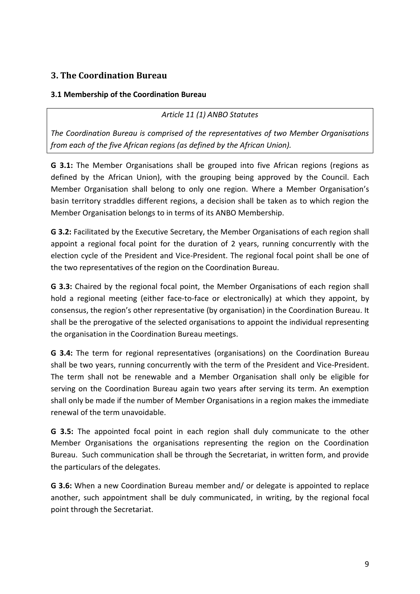# <span id="page-10-0"></span>**3. The Coordination Bureau**

#### <span id="page-10-1"></span>**3.1 Membership of the Coordination Bureau**

*Article 11 (1) ANBO Statutes*

*The Coordination Bureau is comprised of the representatives of two Member Organisations from each of the five African regions (as defined by the African Union).*

**G 3.1:** The Member Organisations shall be grouped into five African regions (regions as defined by the African Union), with the grouping being approved by the Council. Each Member Organisation shall belong to only one region. Where a Member Organisation's basin territory straddles different regions, a decision shall be taken as to which region the Member Organisation belongs to in terms of its ANBO Membership.

**G 3.2:** Facilitated by the Executive Secretary, the Member Organisations of each region shall appoint a regional focal point for the duration of 2 years, running concurrently with the election cycle of the President and Vice-President. The regional focal point shall be one of the two representatives of the region on the Coordination Bureau.

**G 3.3:** Chaired by the regional focal point, the Member Organisations of each region shall hold a regional meeting (either face-to-face or electronically) at which they appoint, by consensus, the region's other representative (by organisation) in the Coordination Bureau. It shall be the prerogative of the selected organisations to appoint the individual representing the organisation in the Coordination Bureau meetings.

**G 3.4:** The term for regional representatives (organisations) on the Coordination Bureau shall be two years, running concurrently with the term of the President and Vice-President. The term shall not be renewable and a Member Organisation shall only be eligible for serving on the Coordination Bureau again two years after serving its term. An exemption shall only be made if the number of Member Organisations in a region makes the immediate renewal of the term unavoidable.

**G 3.5:** The appointed focal point in each region shall duly communicate to the other Member Organisations the organisations representing the region on the Coordination Bureau. Such communication shall be through the Secretariat, in written form, and provide the particulars of the delegates.

**G 3.6:** When a new Coordination Bureau member and/ or delegate is appointed to replace another, such appointment shall be duly communicated, in writing, by the regional focal point through the Secretariat.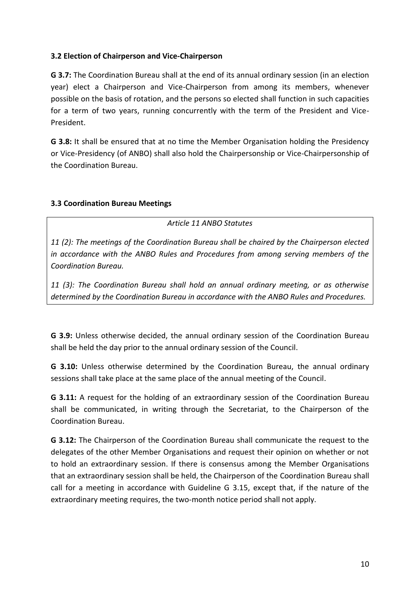#### <span id="page-11-0"></span>**3.2 Election of Chairperson and Vice-Chairperson**

**G 3.7:** The Coordination Bureau shall at the end of its annual ordinary session (in an election year) elect a Chairperson and Vice-Chairperson from among its members, whenever possible on the basis of rotation, and the persons so elected shall function in such capacities for a term of two years, running concurrently with the term of the President and Vice-President.

**G 3.8:** It shall be ensured that at no time the Member Organisation holding the Presidency or Vice-Presidency (of ANBO) shall also hold the Chairpersonship or Vice-Chairpersonship of the Coordination Bureau.

#### <span id="page-11-1"></span>**3.3 Coordination Bureau Meetings**

*Article 11 ANBO Statutes*

*11 (2): The meetings of the Coordination Bureau shall be chaired by the Chairperson elected in accordance with the ANBO Rules and Procedures from among serving members of the Coordination Bureau.*

*11 (3): The Coordination Bureau shall hold an annual ordinary meeting, or as otherwise determined by the Coordination Bureau in accordance with the ANBO Rules and Procedures.*

**G 3.9:** Unless otherwise decided, the annual ordinary session of the Coordination Bureau shall be held the day prior to the annual ordinary session of the Council.

**G 3.10:** Unless otherwise determined by the Coordination Bureau, the annual ordinary sessions shall take place at the same place of the annual meeting of the Council.

**G 3.11:** A request for the holding of an extraordinary session of the Coordination Bureau shall be communicated, in writing through the Secretariat, to the Chairperson of the Coordination Bureau.

**G 3.12:** The Chairperson of the Coordination Bureau shall communicate the request to the delegates of the other Member Organisations and request their opinion on whether or not to hold an extraordinary session. If there is consensus among the Member Organisations that an extraordinary session shall be held, the Chairperson of the Coordination Bureau shall call for a meeting in accordance with Guideline G 3.15, except that, if the nature of the extraordinary meeting requires, the two-month notice period shall not apply.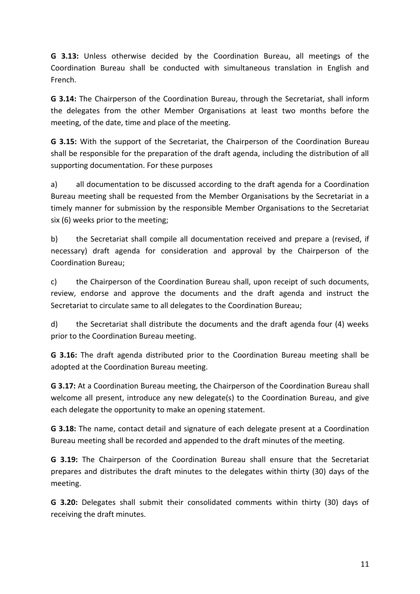**G 3.13:** Unless otherwise decided by the Coordination Bureau, all meetings of the Coordination Bureau shall be conducted with simultaneous translation in English and French.

**G 3.14:** The Chairperson of the Coordination Bureau, through the Secretariat, shall inform the delegates from the other Member Organisations at least two months before the meeting, of the date, time and place of the meeting.

**G 3.15:** With the support of the Secretariat, the Chairperson of the Coordination Bureau shall be responsible for the preparation of the draft agenda, including the distribution of all supporting documentation. For these purposes

a) all documentation to be discussed according to the draft agenda for a Coordination Bureau meeting shall be requested from the Member Organisations by the Secretariat in a timely manner for submission by the responsible Member Organisations to the Secretariat six (6) weeks prior to the meeting;

b) the Secretariat shall compile all documentation received and prepare a (revised, if necessary) draft agenda for consideration and approval by the Chairperson of the Coordination Bureau;

c) the Chairperson of the Coordination Bureau shall, upon receipt of such documents, review, endorse and approve the documents and the draft agenda and instruct the Secretariat to circulate same to all delegates to the Coordination Bureau;

d) the Secretariat shall distribute the documents and the draft agenda four (4) weeks prior to the Coordination Bureau meeting.

**G 3.16:** The draft agenda distributed prior to the Coordination Bureau meeting shall be adopted at the Coordination Bureau meeting.

**G 3.17:** At a Coordination Bureau meeting, the Chairperson of the Coordination Bureau shall welcome all present, introduce any new delegate(s) to the Coordination Bureau, and give each delegate the opportunity to make an opening statement.

**G 3.18:** The name, contact detail and signature of each delegate present at a Coordination Bureau meeting shall be recorded and appended to the draft minutes of the meeting.

**G 3.19:** The Chairperson of the Coordination Bureau shall ensure that the Secretariat prepares and distributes the draft minutes to the delegates within thirty (30) days of the meeting.

**G 3.20:** Delegates shall submit their consolidated comments within thirty (30) days of receiving the draft minutes.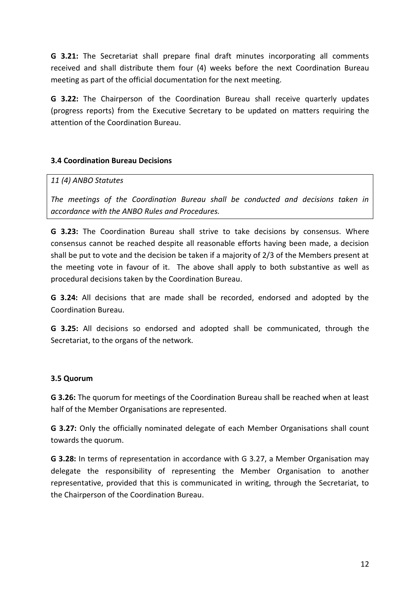**G 3.21:** The Secretariat shall prepare final draft minutes incorporating all comments received and shall distribute them four (4) weeks before the next Coordination Bureau meeting as part of the official documentation for the next meeting.

**G 3.22:** The Chairperson of the Coordination Bureau shall receive quarterly updates (progress reports) from the Executive Secretary to be updated on matters requiring the attention of the Coordination Bureau.

#### <span id="page-13-0"></span>**3.4 Coordination Bureau Decisions**

#### *11 (4) ANBO Statutes*

*The meetings of the Coordination Bureau shall be conducted and decisions taken in accordance with the ANBO Rules and Procedures.*

**G 3.23:** The Coordination Bureau shall strive to take decisions by consensus. Where consensus cannot be reached despite all reasonable efforts having been made, a decision shall be put to vote and the decision be taken if a majority of 2/3 of the Members present at the meeting vote in favour of it. The above shall apply to both substantive as well as procedural decisions taken by the Coordination Bureau.

**G 3.24:** All decisions that are made shall be recorded, endorsed and adopted by the Coordination Bureau.

**G 3.25:** All decisions so endorsed and adopted shall be communicated, through the Secretariat, to the organs of the network.

#### <span id="page-13-1"></span>**3.5 Quorum**

**G 3.26:** The quorum for meetings of the Coordination Bureau shall be reached when at least half of the Member Organisations are represented.

**G 3.27:** Only the officially nominated delegate of each Member Organisations shall count towards the quorum.

**G 3.28:** In terms of representation in accordance with G 3.27, a Member Organisation may delegate the responsibility of representing the Member Organisation to another representative, provided that this is communicated in writing, through the Secretariat, to the Chairperson of the Coordination Bureau.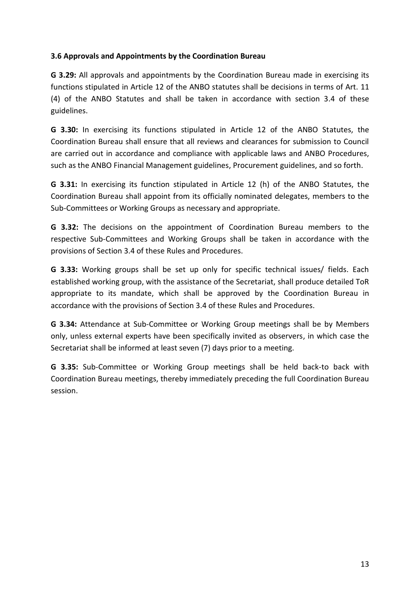#### <span id="page-14-0"></span>**3.6 Approvals and Appointments by the Coordination Bureau**

**G 3.29:** All approvals and appointments by the Coordination Bureau made in exercising its functions stipulated in Article 12 of the ANBO statutes shall be decisions in terms of Art. 11 (4) of the ANBO Statutes and shall be taken in accordance with section 3.4 of these guidelines.

**G 3.30:** In exercising its functions stipulated in Article 12 of the ANBO Statutes, the Coordination Bureau shall ensure that all reviews and clearances for submission to Council are carried out in accordance and compliance with applicable laws and ANBO Procedures, such as the ANBO Financial Management guidelines, Procurement guidelines, and so forth.

**G 3.31:** In exercising its function stipulated in Article 12 (h) of the ANBO Statutes, the Coordination Bureau shall appoint from its officially nominated delegates, members to the Sub-Committees or Working Groups as necessary and appropriate.

**G 3.32:** The decisions on the appointment of Coordination Bureau members to the respective Sub-Committees and Working Groups shall be taken in accordance with the provisions of Section 3.4 of these Rules and Procedures.

**G 3.33:** Working groups shall be set up only for specific technical issues/ fields. Each established working group, with the assistance of the Secretariat, shall produce detailed ToR appropriate to its mandate, which shall be approved by the Coordination Bureau in accordance with the provisions of Section 3.4 of these Rules and Procedures.

**G 3.34:** Attendance at Sub-Committee or Working Group meetings shall be by Members only, unless external experts have been specifically invited as observers, in which case the Secretariat shall be informed at least seven (7) days prior to a meeting.

**G 3.35:** Sub-Committee or Working Group meetings shall be held back-to back with Coordination Bureau meetings, thereby immediately preceding the full Coordination Bureau session.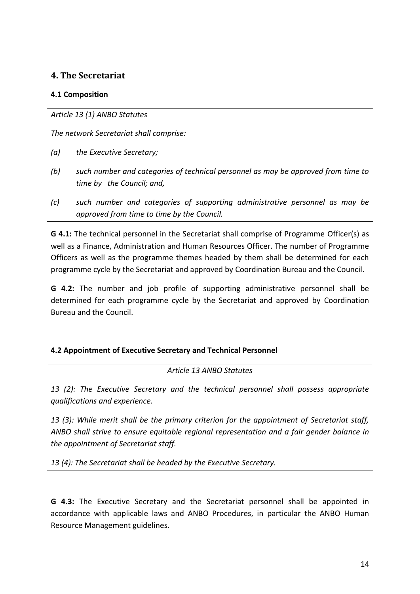## <span id="page-15-0"></span>**4. The Secretariat**

#### <span id="page-15-1"></span>**4.1 Composition**

*Article 13 (1) ANBO Statutes*

*The network Secretariat shall comprise:*

- *(a) the Executive Secretary;*
- *(b) such number and categories of technical personnel as may be approved from time to time by the Council; and,*
- *(c) such number and categories of supporting administrative personnel as may be approved from time to time by the Council.*

**G 4.1:** The technical personnel in the Secretariat shall comprise of Programme Officer(s) as well as a Finance, Administration and Human Resources Officer. The number of Programme Officers as well as the programme themes headed by them shall be determined for each programme cycle by the Secretariat and approved by Coordination Bureau and the Council.

**G 4.2:** The number and job profile of supporting administrative personnel shall be determined for each programme cycle by the Secretariat and approved by Coordination Bureau and the Council.

#### <span id="page-15-2"></span>**4.2 Appointment of Executive Secretary and Technical Personnel**

#### *Article 13 ANBO Statutes*

*13 (2): The Executive Secretary and the technical personnel shall possess appropriate qualifications and experience.*

*13 (3): While merit shall be the primary criterion for the appointment of Secretariat staff, ANBO shall strive to ensure equitable regional representation and a fair gender balance in the appointment of Secretariat staff.*

*13 (4): The Secretariat shall be headed by the Executive Secretary.*

**G 4.3:** The Executive Secretary and the Secretariat personnel shall be appointed in accordance with applicable laws and ANBO Procedures, in particular the ANBO Human Resource Management guidelines.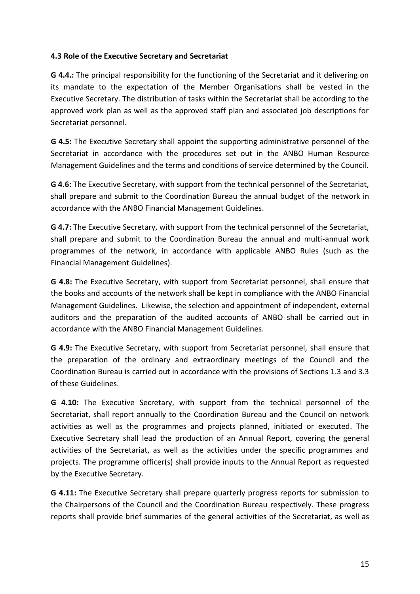#### <span id="page-16-0"></span>**4.3 Role of the Executive Secretary and Secretariat**

**G 4.4.:** The principal responsibility for the functioning of the Secretariat and it delivering on its mandate to the expectation of the Member Organisations shall be vested in the Executive Secretary. The distribution of tasks within the Secretariat shall be according to the approved work plan as well as the approved staff plan and associated job descriptions for Secretariat personnel.

**G 4.5:** The Executive Secretary shall appoint the supporting administrative personnel of the Secretariat in accordance with the procedures set out in the ANBO Human Resource Management Guidelines and the terms and conditions of service determined by the Council.

**G 4.6:** The Executive Secretary, with support from the technical personnel of the Secretariat, shall prepare and submit to the Coordination Bureau the annual budget of the network in accordance with the ANBO Financial Management Guidelines.

**G 4.7:** The Executive Secretary, with support from the technical personnel of the Secretariat, shall prepare and submit to the Coordination Bureau the annual and multi-annual work programmes of the network, in accordance with applicable ANBO Rules (such as the Financial Management Guidelines).

**G 4.8:** The Executive Secretary, with support from Secretariat personnel, shall ensure that the books and accounts of the network shall be kept in compliance with the ANBO Financial Management Guidelines. Likewise, the selection and appointment of independent, external auditors and the preparation of the audited accounts of ANBO shall be carried out in accordance with the ANBO Financial Management Guidelines.

**G 4.9:** The Executive Secretary, with support from Secretariat personnel, shall ensure that the preparation of the ordinary and extraordinary meetings of the Council and the Coordination Bureau is carried out in accordance with the provisions of Sections 1.3 and 3.3 of these Guidelines.

**G 4.10:** The Executive Secretary, with support from the technical personnel of the Secretariat, shall report annually to the Coordination Bureau and the Council on network activities as well as the programmes and projects planned, initiated or executed. The Executive Secretary shall lead the production of an Annual Report, covering the general activities of the Secretariat, as well as the activities under the specific programmes and projects. The programme officer(s) shall provide inputs to the Annual Report as requested by the Executive Secretary.

**G 4.11:** The Executive Secretary shall prepare quarterly progress reports for submission to the Chairpersons of the Council and the Coordination Bureau respectively. These progress reports shall provide brief summaries of the general activities of the Secretariat, as well as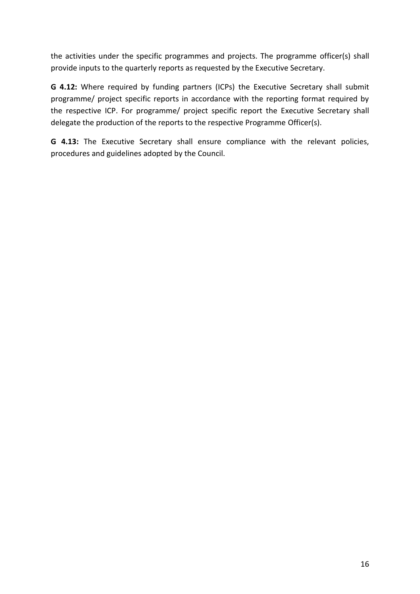the activities under the specific programmes and projects. The programme officer(s) shall provide inputs to the quarterly reports as requested by the Executive Secretary.

**G 4.12:** Where required by funding partners (ICPs) the Executive Secretary shall submit programme/ project specific reports in accordance with the reporting format required by the respective ICP. For programme/ project specific report the Executive Secretary shall delegate the production of the reports to the respective Programme Officer(s).

**G 4.13:** The Executive Secretary shall ensure compliance with the relevant policies, procedures and guidelines adopted by the Council.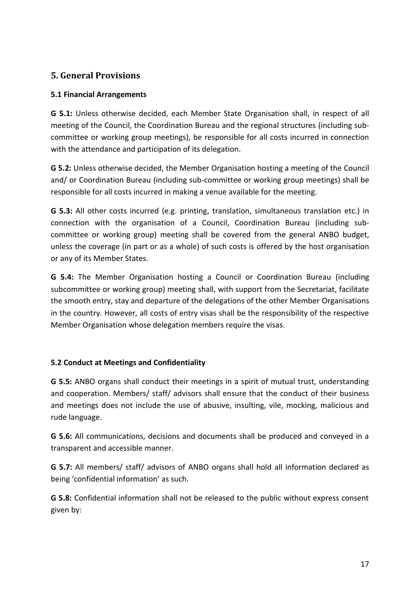## <span id="page-18-0"></span>**5. General Provisions**

#### <span id="page-18-1"></span>**5.1 Financial Arrangements**

**G 5.1:** Unless otherwise decided, each Member State Organisation shall, in respect of all meeting of the Council, the Coordination Bureau and the regional structures (including subcommittee or working group meetings), be responsible for all costs incurred in connection with the attendance and participation of its delegation.

**G 5.2:** Unless otherwise decided, the Member Organisation hosting a meeting of the Council and/ or Coordination Bureau (including sub-committee or working group meetings) shall be responsible for all costs incurred in making a venue available for the meeting.

**G 5.3:** All other costs incurred (e.g. printing, translation, simultaneous translation etc.) in connection with the organisation of a Council, Coordination Bureau (including subcommittee or working group) meeting shall be covered from the general ANBO budget, unless the coverage (in part or as a whole) of such costs is offered by the host organisation or any of its Member States.

**G 5.4:** The Member Organisation hosting a Council or Coordination Bureau (including subcommittee or working group) meeting shall, with support from the Secretariat, facilitate the smooth entry, stay and departure of the delegations of the other Member Organisations in the country. However, all costs of entry visas shall be the responsibility of the respective Member Organisation whose delegation members require the visas.

## <span id="page-18-2"></span>**5.2 Conduct at Meetings and Confidentiality**

**G 5.5:** ANBO organs shall conduct their meetings in a spirit of mutual trust, understanding and cooperation. Members/ staff/ advisors shall ensure that the conduct of their business and meetings does not include the use of abusive, insulting, vile, mocking, malicious and rude language.

**G 5.6:** All communications, decisions and documents shall be produced and conveyed in a transparent and accessible manner.

**G 5.7:** All members/ staff/ advisors of ANBO organs shall hold all information declared as being 'confidential information' as such.

**G 5.8:** Confidential information shall not be released to the public without express consent given by: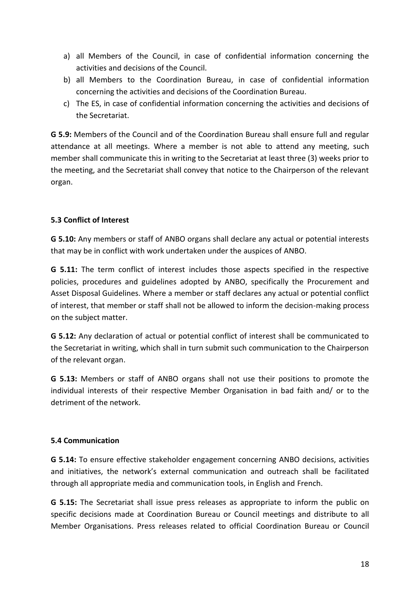- a) all Members of the Council, in case of confidential information concerning the activities and decisions of the Council.
- b) all Members to the Coordination Bureau, in case of confidential information concerning the activities and decisions of the Coordination Bureau.
- c) The ES, in case of confidential information concerning the activities and decisions of the Secretariat.

**G 5.9:** Members of the Council and of the Coordination Bureau shall ensure full and regular attendance at all meetings. Where a member is not able to attend any meeting, such member shall communicate this in writing to the Secretariat at least three (3) weeks prior to the meeting, and the Secretariat shall convey that notice to the Chairperson of the relevant organ.

#### <span id="page-19-0"></span>**5.3 Conflict of Interest**

**G 5.10:** Any members or staff of ANBO organs shall declare any actual or potential interests that may be in conflict with work undertaken under the auspices of ANBO.

**G 5.11:** The term conflict of interest includes those aspects specified in the respective policies, procedures and guidelines adopted by ANBO, specifically the Procurement and Asset Disposal Guidelines. Where a member or staff declares any actual or potential conflict of interest, that member or staff shall not be allowed to inform the decision-making process on the subject matter.

**G 5.12:** Any declaration of actual or potential conflict of interest shall be communicated to the Secretariat in writing, which shall in turn submit such communication to the Chairperson of the relevant organ.

**G 5.13:** Members or staff of ANBO organs shall not use their positions to promote the individual interests of their respective Member Organisation in bad faith and/ or to the detriment of the network.

#### <span id="page-19-1"></span>**5.4 Communication**

**G 5.14:** To ensure effective stakeholder engagement concerning ANBO decisions, activities and initiatives, the network's external communication and outreach shall be facilitated through all appropriate media and communication tools, in English and French.

**G 5.15:** The Secretariat shall issue press releases as appropriate to inform the public on specific decisions made at Coordination Bureau or Council meetings and distribute to all Member Organisations. Press releases related to official Coordination Bureau or Council